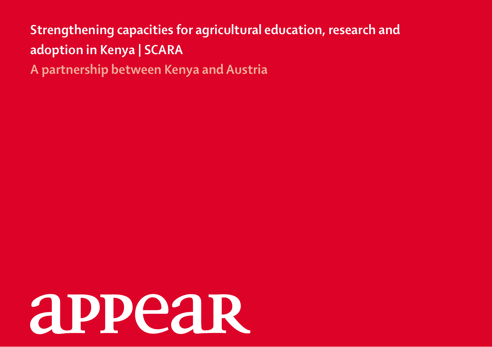# **Strengthening capacities for agricultural education, research and adoption in Kenya | SCARA**

**A partnership between Kenya and Austria**